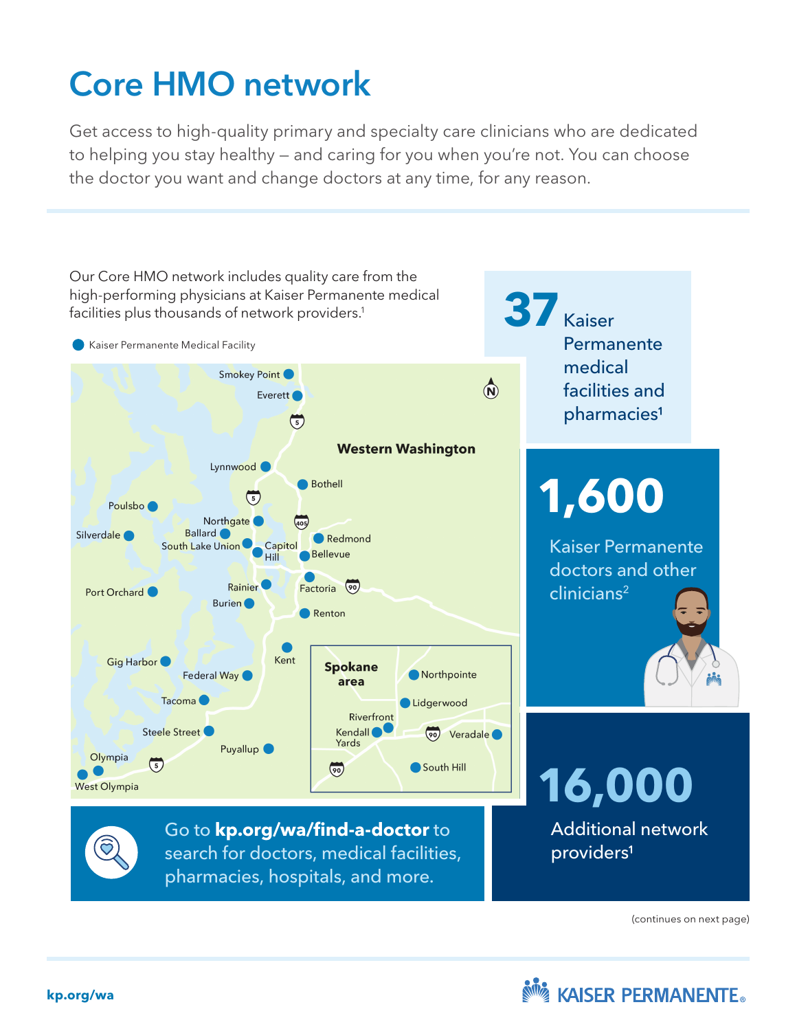## Core HMO network

Get access to high-quality primary and specialty care clinicians who are dedicated to helping you stay healthy — and caring for you when you're not. You can choose the doctor you want and change doctors at any time, for any reason.



(continues on next page)